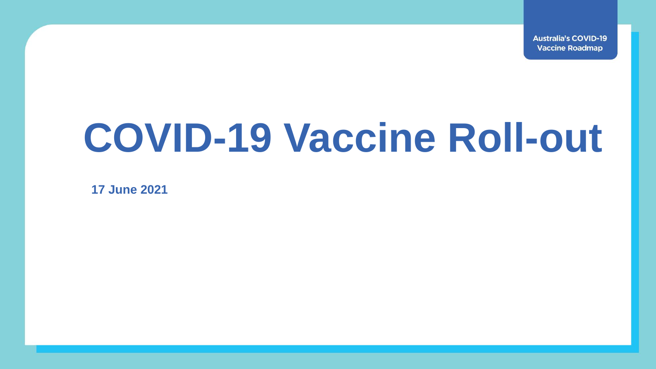**Australia's COVID-19 Vaccine Roadmap** 

## **COVID-19 Vaccine Roll-out**

**17 June 2021**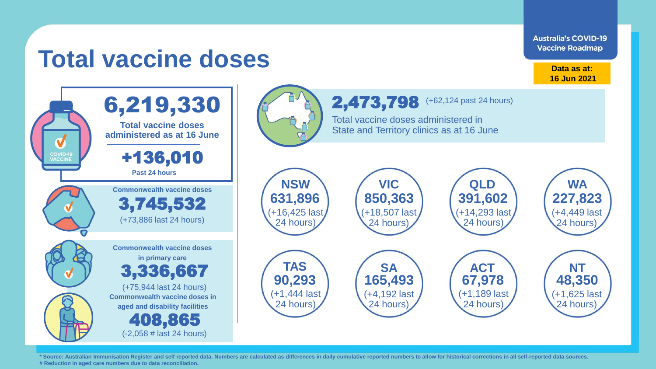**Australia's COVID-19 Vaccine Roadmap** 

## **Total vaccine doses**

**Data as at: 16 Jun 2021**





\* Source: Australian Immunisation Register and self reported data. Numbers are calculated as differences in daily cumulative reported numbers to allow for historical corrections in all self-reported data sources. **# Reduction in aged care numbers due to data reconciliation.**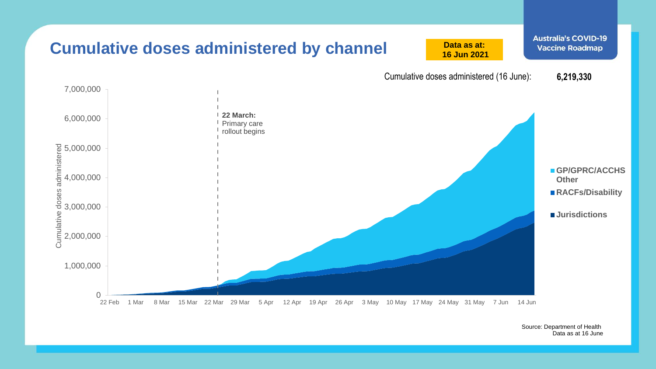

Source: Department of Health Data as at 16 June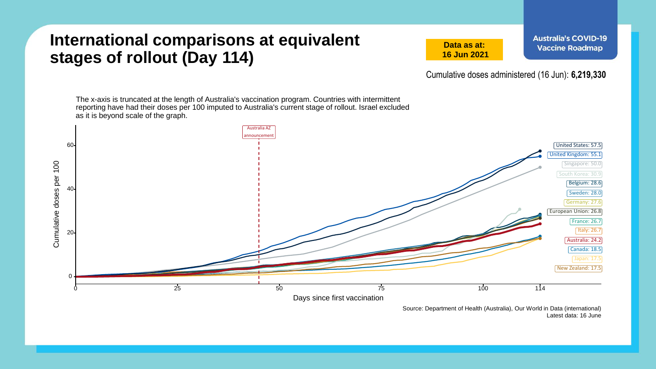## **International comparisons at equivalent stages of rollout (Day 114)**

**Data as at: 16 Jun 2021** **Australia's COVID-19 Vaccine Roadmap** 

Cumulative doses administered (16 Jun): **6,219,330**

The x-axis is truncated at the length of Australia's vaccination program. Countries with intermittent reporting have had their doses per 100 imputed to Australia's current stage of rollout. Israel excluded as it is beyond scale of the graph.



Source: Department of Health (Australia), Our World in Data (international) Latest data: 16 June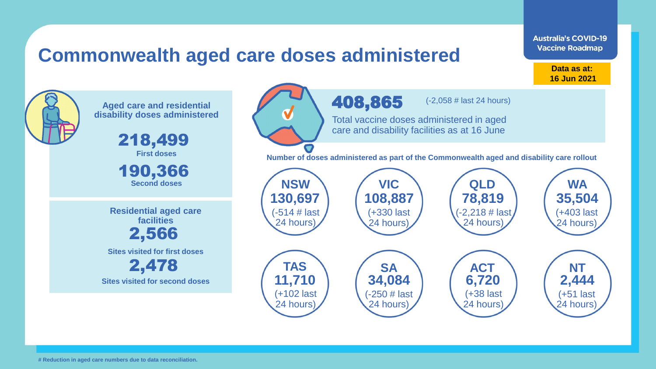## **Commonwealth aged care doses administered**

**Data as at: Data as at: 18 Apr 2021 16 Jun 2021**